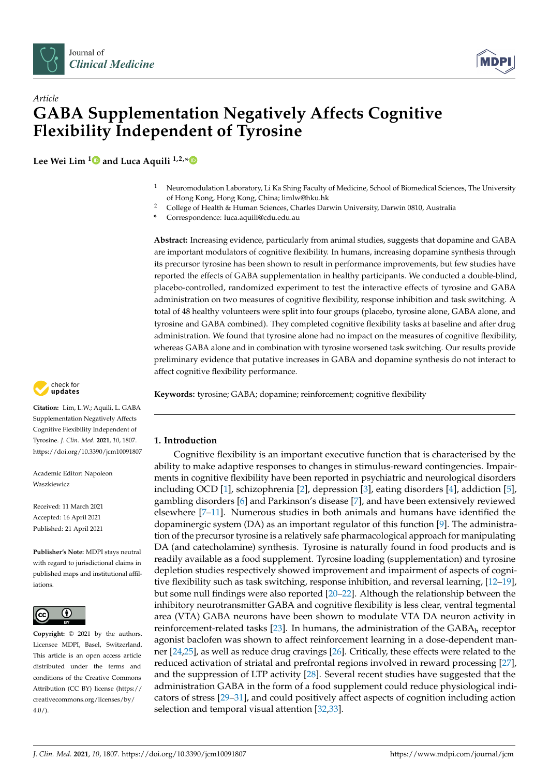



# *Article* **GABA Supplementation Negatively Affects Cognitive Flexibility Independent of Tyrosine**

**Lee Wei Lim [1](https://orcid.org/0000-0001-6692-6285) and Luca Aquili 1,2,[\\*](https://orcid.org/0000-0003-4930-1536)**

- <sup>1</sup> Neuromodulation Laboratory, Li Ka Shing Faculty of Medicine, School of Biomedical Sciences, The University of Hong Kong, Hong Kong, China; limlw@hku.hk
- <sup>2</sup> College of Health & Human Sciences, Charles Darwin University, Darwin 0810, Australia
- **\*** Correspondence: luca.aquili@cdu.edu.au

**Abstract:** Increasing evidence, particularly from animal studies, suggests that dopamine and GABA are important modulators of cognitive flexibility. In humans, increasing dopamine synthesis through its precursor tyrosine has been shown to result in performance improvements, but few studies have reported the effects of GABA supplementation in healthy participants. We conducted a double-blind, placebo-controlled, randomized experiment to test the interactive effects of tyrosine and GABA administration on two measures of cognitive flexibility, response inhibition and task switching. A total of 48 healthy volunteers were split into four groups (placebo, tyrosine alone, GABA alone, and tyrosine and GABA combined). They completed cognitive flexibility tasks at baseline and after drug administration. We found that tyrosine alone had no impact on the measures of cognitive flexibility, whereas GABA alone and in combination with tyrosine worsened task switching. Our results provide preliminary evidence that putative increases in GABA and dopamine synthesis do not interact to affect cognitive flexibility performance.

**Keywords:** tyrosine; GABA; dopamine; reinforcement; cognitive flexibility



**Citation:** Lim, L.W.; Aquili, L. GABA Supplementation Negatively Affects Cognitive Flexibility Independent of Tyrosine. *J. Clin. Med.* **2021**, *10*, 1807. <https://doi.org/10.3390/jcm10091807>

Academic Editor: Napoleon Waszkiewicz

Received: 11 March 2021 Accepted: 16 April 2021 Published: 21 April 2021

**Publisher's Note:** MDPI stays neutral with regard to jurisdictional claims in published maps and institutional affiliations.



**Copyright:** © 2021 by the authors. Licensee MDPI, Basel, Switzerland. This article is an open access article distributed under the terms and conditions of the Creative Commons Attribution (CC BY) license (https:/[/](https://creativecommons.org/licenses/by/4.0/) [creativecommons.org/licenses/by/](https://creativecommons.org/licenses/by/4.0/)  $4.0/$ ).

## **1. Introduction**

Cognitive flexibility is an important executive function that is characterised by the ability to make adaptive responses to changes in stimulus-reward contingencies. Impairments in cognitive flexibility have been reported in psychiatric and neurological disorders including OCD [\[1\]](#page-7-0), schizophrenia [\[2\]](#page-7-1), depression [\[3\]](#page-7-2), eating disorders [\[4\]](#page-7-3), addiction [\[5\]](#page-7-4), gambling disorders [\[6\]](#page-7-5) and Parkinson's disease [\[7\]](#page-7-6), and have been extensively reviewed elsewhere [\[7–](#page-7-6)[11\]](#page-7-7). Numerous studies in both animals and humans have identified the dopaminergic system (DA) as an important regulator of this function [\[9\]](#page-7-8). The administration of the precursor tyrosine is a relatively safe pharmacological approach for manipulating DA (and catecholamine) synthesis. Tyrosine is naturally found in food products and is readily available as a food supplement. Tyrosine loading (supplementation) and tyrosine depletion studies respectively showed improvement and impairment of aspects of cognitive flexibility such as task switching, response inhibition, and reversal learning, [\[12–](#page-7-9)[19\]](#page-7-10), but some null findings were also reported [\[20](#page-7-11)[–22\]](#page-7-12). Although the relationship between the inhibitory neurotransmitter GABA and cognitive flexibility is less clear, ventral tegmental area (VTA) GABA neurons have been shown to modulate VTA DA neuron activity in reinforcement-related tasks [\[23\]](#page-7-13). In humans, the administration of the  $GABA_h$  receptor agonist baclofen was shown to affect reinforcement learning in a dose-dependent manner [\[24](#page-7-14)[,25\]](#page-7-15), as well as reduce drug cravings [\[26\]](#page-8-0). Critically, these effects were related to the reduced activation of striatal and prefrontal regions involved in reward processing [\[27\]](#page-8-1), and the suppression of LTP activity [\[28\]](#page-8-2). Several recent studies have suggested that the administration GABA in the form of a food supplement could reduce physiological indicators of stress [\[29](#page-8-3)[–31\]](#page-8-4), and could positively affect aspects of cognition including action selection and temporal visual attention [\[32](#page-8-5)[,33\]](#page-8-6).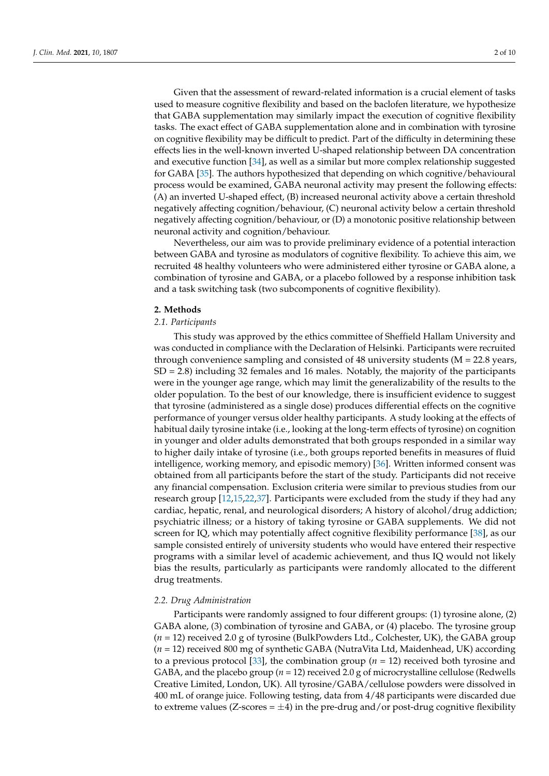Given that the assessment of reward-related information is a crucial element of tasks used to measure cognitive flexibility and based on the baclofen literature, we hypothesize that GABA supplementation may similarly impact the execution of cognitive flexibility tasks. The exact effect of GABA supplementation alone and in combination with tyrosine on cognitive flexibility may be difficult to predict. Part of the difficulty in determining these effects lies in the well-known inverted U-shaped relationship between DA concentration and executive function [\[34\]](#page-8-7), as well as a similar but more complex relationship suggested for GABA [\[35\]](#page-8-8). The authors hypothesized that depending on which cognitive/behavioural process would be examined, GABA neuronal activity may present the following effects: (A) an inverted U-shaped effect, (B) increased neuronal activity above a certain threshold negatively affecting cognition/behaviour, (C) neuronal activity below a certain threshold negatively affecting cognition/behaviour, or (D) a monotonic positive relationship between neuronal activity and cognition/behaviour.

Nevertheless, our aim was to provide preliminary evidence of a potential interaction between GABA and tyrosine as modulators of cognitive flexibility. To achieve this aim, we recruited 48 healthy volunteers who were administered either tyrosine or GABA alone, a combination of tyrosine and GABA, or a placebo followed by a response inhibition task and a task switching task (two subcomponents of cognitive flexibility).

## **2. Methods**

## *2.1. Participants*

This study was approved by the ethics committee of Sheffield Hallam University and was conducted in compliance with the Declaration of Helsinki. Participants were recruited through convenience sampling and consisted of 48 university students (M = 22.8 years, SD = 2.8) including 32 females and 16 males. Notably, the majority of the participants were in the younger age range, which may limit the generalizability of the results to the older population. To the best of our knowledge, there is insufficient evidence to suggest that tyrosine (administered as a single dose) produces differential effects on the cognitive performance of younger versus older healthy participants. A study looking at the effects of habitual daily tyrosine intake (i.e., looking at the long-term effects of tyrosine) on cognition in younger and older adults demonstrated that both groups responded in a similar way to higher daily intake of tyrosine (i.e., both groups reported benefits in measures of fluid intelligence, working memory, and episodic memory) [\[36\]](#page-8-9). Written informed consent was obtained from all participants before the start of the study. Participants did not receive any financial compensation. Exclusion criteria were similar to previous studies from our research group [\[12,](#page-7-9)[15](#page-7-16)[,22,](#page-7-12)[37\]](#page-8-10). Participants were excluded from the study if they had any cardiac, hepatic, renal, and neurological disorders; A history of alcohol/drug addiction; psychiatric illness; or a history of taking tyrosine or GABA supplements. We did not screen for IQ, which may potentially affect cognitive flexibility performance [\[38\]](#page-8-11), as our sample consisted entirely of university students who would have entered their respective programs with a similar level of academic achievement, and thus IQ would not likely bias the results, particularly as participants were randomly allocated to the different drug treatments.

## *2.2. Drug Administration*

Participants were randomly assigned to four different groups: (1) tyrosine alone, (2) GABA alone, (3) combination of tyrosine and GABA, or (4) placebo. The tyrosine group (*n* = 12) received 2.0 g of tyrosine (BulkPowders Ltd., Colchester, UK), the GABA group (*n* = 12) received 800 mg of synthetic GABA (NutraVita Ltd, Maidenhead, UK) according to a previous protocol [\[33\]](#page-8-6), the combination group (*n* = 12) received both tyrosine and GABA, and the placebo group (*n* = 12) received 2.0 g of microcrystalline cellulose (Redwells Creative Limited, London, UK). All tyrosine/GABA/cellulose powders were dissolved in 400 mL of orange juice. Following testing, data from 4/48 participants were discarded due to extreme values (Z-scores  $= \pm 4$ ) in the pre-drug and/or post-drug cognitive flexibility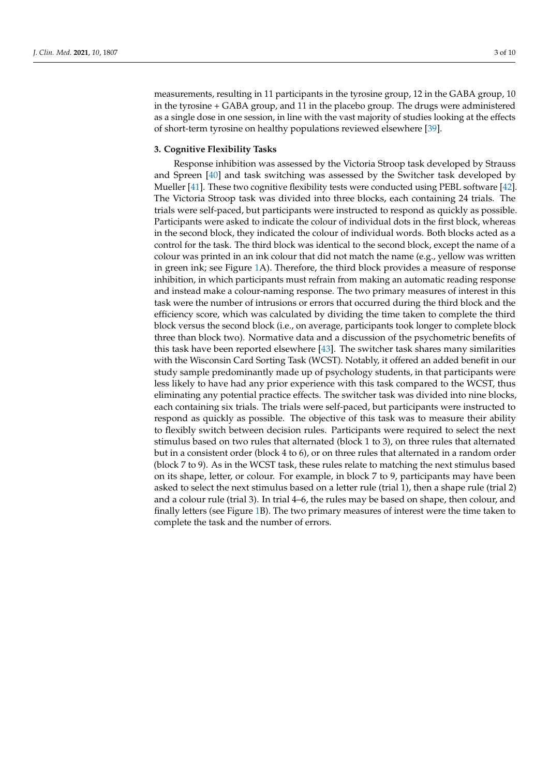measurements, resulting in 11 participants in the tyrosine group, 12 in the GABA group, 10 in the tyrosine + GABA group, and 11 in the placebo group. The drugs were administered as a single dose in one session, in line with the vast majority of studies looking at the effects of short-term tyrosine on healthy populations reviewed elsewhere [\[39\]](#page-8-12).

## **3. Cognitive Flexibility Tasks**

Response inhibition was assessed by the Victoria Stroop task developed by Strauss and Spreen [\[40\]](#page-8-13) and task switching was assessed by the Switcher task developed by Mueller [\[41\]](#page-8-14). These two cognitive flexibility tests were conducted using PEBL software [\[42\]](#page-8-15). The Victoria Stroop task was divided into three blocks, each containing 24 trials. The trials were self-paced, but participants were instructed to respond as quickly as possible. Participants were asked to indicate the colour of individual dots in the first block, whereas in the second block, they indicated the colour of individual words. Both blocks acted as a control for the task. The third block was identical to the second block, except the name of a colour was printed in an ink colour that did not match the name (e.g., yellow was written in green ink; see Figure [1A](#page-3-0)). Therefore, the third block provides a measure of response inhibition, in which participants must refrain from making an automatic reading response and instead make a colour-naming response. The two primary measures of interest in this task were the number of intrusions or errors that occurred during the third block and the efficiency score, which was calculated by dividing the time taken to complete the third block versus the second block (i.e., on average, participants took longer to complete block three than block two). Normative data and a discussion of the psychometric benefits of this task have been reported elsewhere [\[43\]](#page-8-16). The switcher task shares many similarities with the Wisconsin Card Sorting Task (WCST). Notably, it offered an added benefit in our study sample predominantly made up of psychology students, in that participants were less likely to have had any prior experience with this task compared to the WCST, thus eliminating any potential practice effects. The switcher task was divided into nine blocks, each containing six trials. The trials were self-paced, but participants were instructed to respond as quickly as possible. The objective of this task was to measure their ability to flexibly switch between decision rules. Participants were required to select the next stimulus based on two rules that alternated (block 1 to 3), on three rules that alternated but in a consistent order (block 4 to 6), or on three rules that alternated in a random order (block 7 to 9). As in the WCST task, these rules relate to matching the next stimulus based on its shape, letter, or colour. For example, in block 7 to 9, participants may have been asked to select the next stimulus based on a letter rule (trial 1), then a shape rule (trial 2) and a colour rule (trial 3). In trial 4–6, the rules may be based on shape, then colour, and finally letters (see Figure [1B](#page-3-0)). The two primary measures of interest were the time taken to complete the task and the number of errors.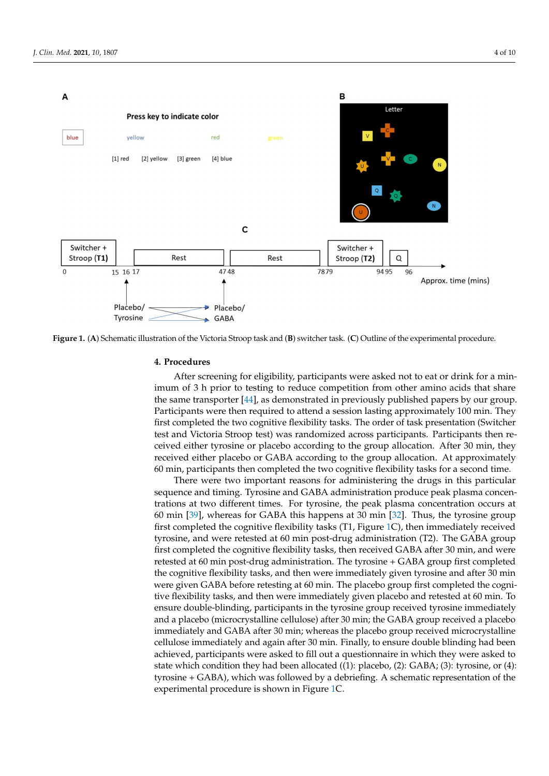<span id="page-3-0"></span>

**Figure 1.** (**A**) Schematic illustration of the Victoria Stroop task and (**B**) switcher task. (**C**) Outline of the experimental procedure.

## **4. Procedures**

After screening for eligibility, participants were asked not to eat or drink for a minimum of 3 h prior to testing to reduce competition from other amino acids that share the same transporter [\[44\]](#page-8-17), as demonstrated in previously published papers by our group. Participants were then required to attend a session lasting approximately 100 min. They first completed the two cognitive flexibility tasks. The order of task presentation (Switcher test and Victoria Stroop test) was randomized across participants. Participants then received either tyrosine or placebo according to the group allocation. After 30 min, they received either placebo or GABA according to the group allocation. At approximately 60 min, participants then completed the two cognitive flexibility tasks for a second time.

There were two important reasons for administering the drugs in this particular sequence and timing. Tyrosine and GABA administration produce peak plasma concentrations at two different times. For tyrosine, the peak plasma concentration occurs at 60 min [\[39\]](#page-8-12), whereas for GABA this happens at 30 min [\[32\]](#page-8-5). Thus, the tyrosine group first completed the cognitive flexibility tasks (T1, Figure [1C](#page-3-0)), then immediately received tyrosine, and were retested at 60 min post-drug administration (T2). The GABA group first completed the cognitive flexibility tasks, then received GABA after 30 min, and were retested at 60 min post-drug administration. The tyrosine + GABA group first completed the cognitive flexibility tasks, and then were immediately given tyrosine and after 30 min were given GABA before retesting at 60 min. The placebo group first completed the cognitive flexibility tasks, and then were immediately given placebo and retested at 60 min. To ensure double-blinding, participants in the tyrosine group received tyrosine immediately and a placebo (microcrystalline cellulose) after 30 min; the GABA group received a placebo immediately and GABA after 30 min; whereas the placebo group received microcrystalline cellulose immediately and again after 30 min. Finally, to ensure double blinding had been achieved, participants were asked to fill out a questionnaire in which they were asked to state which condition they had been allocated ((1): placebo, (2): GABA; (3): tyrosine, or (4): tyrosine + GABA), which was followed by a debriefing. A schematic representation of the experimental procedure is shown in Figure [1C](#page-3-0).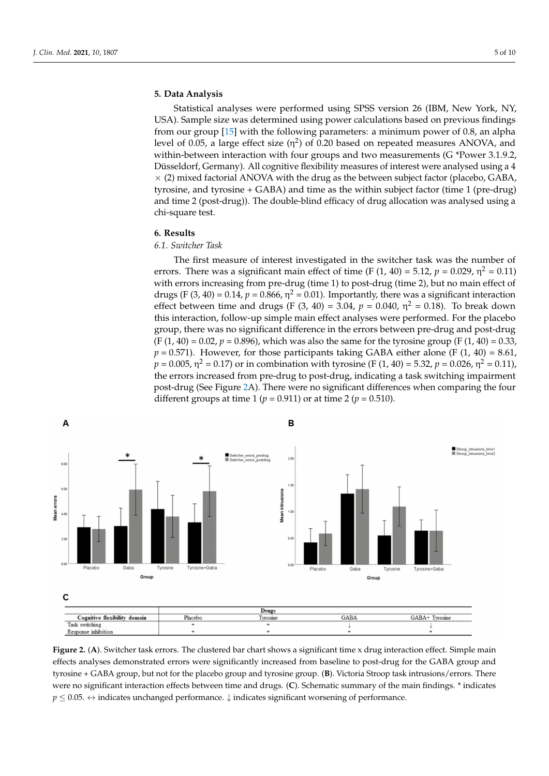## **5. Data Analysis**

Statistical analyses were performed using SPSS version 26 (IBM, New York, NY, USA). Sample size was determined using power calculations based on previous findings from our group [\[15\]](#page-7-16) with the following parameters: a minimum power of 0.8, an alpha level of 0.05, a large effect size ( $\eta^2$ ) of 0.20 based on repeated measures ANOVA, and within-between interaction with four groups and two measurements (G \*Power 3.1.9.2, Düsseldorf, Germany). All cognitive flexibility measures of interest were analysed using a 4  $\times$  (2) mixed factorial ANOVA with the drug as the between subject factor (placebo, GABA, tyrosine, and tyrosine + GABA) and time as the within subject factor (time 1 (pre-drug) and time 2 (post-drug)). The double-blind efficacy of drug allocation was analysed using a chi-square test.

## **6. Results**

## *6.1. Switcher Task*

The first measure of interest investigated in the switcher task was the number of errors. There was a significant main effect of time (F  $(1, 40) = 5.12$ ,  $p = 0.029$ ,  $\eta^2 = 0.11$ ) with errors increasing from pre-drug (time 1) to post-drug (time 2), but no main effect of drugs (F (3, 40) = 0.14,  $p = 0.866$ ,  $\eta^2 = 0.01$ ). Importantly, there was a significant interaction effect between time and drugs (F  $(3, 40) = 3.04$ ,  $p = 0.040$ ,  $\eta^2 = 0.18$ ). To break down this interaction, follow-up simple main effect analyses were performed. For the placebo group, there was no significant difference in the errors between pre-drug and post-drug  $(F(1, 40) = 0.02, p = 0.896)$ , which was also the same for the tyrosine group  $(F(1, 40) = 0.33)$ ,  $p = 0.571$ ). However, for those participants taking GABA either alone (F (1, 40) = 8.61,  $p = 0.005$ , η<sup>2</sup> = 0.17) or in combination with tyrosine (F (1, 40) = 5.32,  $p = 0.026$ , η<sup>2</sup> = 0.11), the errors increased from pre-drug to post-drug, indicating a task switching impairment post-drug (See Figure [2A](#page-4-0)). There were no significant differences when comparing the four different groups at time 1 (*p =* 0.911) or at time 2 (*p =* 0.510).

<span id="page-4-0"></span>

**Figure 2.** (**A**). Switcher task errors. The clustered bar chart shows a significant time x drug interaction effect. Simple main effects analyses demonstrated errors were significantly increased from baseline to post-drug for the GABA group and tyrosine + GABA group, but not for the placebo group and tyrosine group. (**B**). Victoria Stroop task intrusions/errors. There were no significant interaction effects between time and drugs. (**C**). Schematic summary of the main findings. \* indicates *p* ≤ 0.05. ↔ indicates unchanged performance. ↓ indicates significant worsening of performance.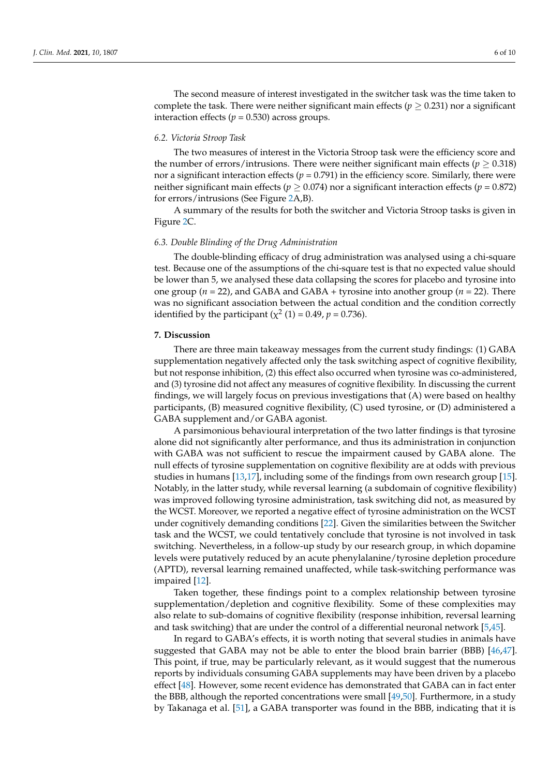The second measure of interest investigated in the switcher task was the time taken to complete the task. There were neither significant main effects ( $p \ge 0.231$ ) nor a significant interaction effects ( $p = 0.530$ ) across groups.

## *6.2. Victoria Stroop Task*

The two measures of interest in the Victoria Stroop task were the efficiency score and the number of errors/intrusions. There were neither significant main effects ( $p \ge 0.318$ ) nor a significant interaction effects (*p =* 0.791) in the efficiency score. Similarly, there were neither significant main effects ( $p \geq 0.074$ ) nor a significant interaction effects ( $p = 0.872$ ) for errors/intrusions (See Figure [2A](#page-4-0),B).

A summary of the results for both the switcher and Victoria Stroop tasks is given in Figure [2C](#page-4-0).

## *6.3. Double Blinding of the Drug Administration*

The double-blinding efficacy of drug administration was analysed using a chi-square test. Because one of the assumptions of the chi-square test is that no expected value should be lower than 5, we analysed these data collapsing the scores for placebo and tyrosine into one group (*n* = 22), and GABA and GABA + tyrosine into another group (*n* = 22). There was no significant association between the actual condition and the condition correctly identified by the participant ( $\chi^2$  (1) = 0.49, *p* = 0.736).

## **7. Discussion**

There are three main takeaway messages from the current study findings: (1) GABA supplementation negatively affected only the task switching aspect of cognitive flexibility, but not response inhibition, (2) this effect also occurred when tyrosine was co-administered, and (3) tyrosine did not affect any measures of cognitive flexibility. In discussing the current findings, we will largely focus on previous investigations that (A) were based on healthy participants, (B) measured cognitive flexibility, (C) used tyrosine, or (D) administered a GABA supplement and/or GABA agonist.

A parsimonious behavioural interpretation of the two latter findings is that tyrosine alone did not significantly alter performance, and thus its administration in conjunction with GABA was not sufficient to rescue the impairment caused by GABA alone. The null effects of tyrosine supplementation on cognitive flexibility are at odds with previous studies in humans [\[13](#page-7-17)[,17\]](#page-7-18), including some of the findings from own research group [\[15\]](#page-7-16). Notably, in the latter study, while reversal learning (a subdomain of cognitive flexibility) was improved following tyrosine administration, task switching did not, as measured by the WCST. Moreover, we reported a negative effect of tyrosine administration on the WCST under cognitively demanding conditions [\[22\]](#page-7-12). Given the similarities between the Switcher task and the WCST, we could tentatively conclude that tyrosine is not involved in task switching. Nevertheless, in a follow-up study by our research group, in which dopamine levels were putatively reduced by an acute phenylalanine/tyrosine depletion procedure (APTD), reversal learning remained unaffected, while task-switching performance was impaired [\[12\]](#page-7-9).

Taken together, these findings point to a complex relationship between tyrosine supplementation/depletion and cognitive flexibility. Some of these complexities may also relate to sub-domains of cognitive flexibility (response inhibition, reversal learning and task switching) that are under the control of a differential neuronal network [\[5](#page-7-4)[,45\]](#page-8-18).

In regard to GABA's effects, it is worth noting that several studies in animals have suggested that GABA may not be able to enter the blood brain barrier (BBB) [\[46,](#page-8-19)[47\]](#page-8-20). This point, if true, may be particularly relevant, as it would suggest that the numerous reports by individuals consuming GABA supplements may have been driven by a placebo effect [\[48\]](#page-8-21). However, some recent evidence has demonstrated that GABA can in fact enter the BBB, although the reported concentrations were small [\[49](#page-8-22)[,50\]](#page-8-23). Furthermore, in a study by Takanaga et al. [\[51\]](#page-8-24), a GABA transporter was found in the BBB, indicating that it is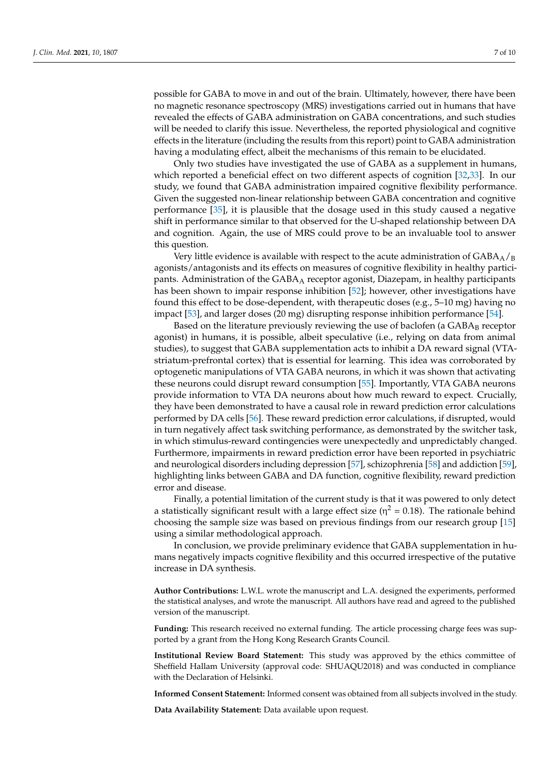possible for GABA to move in and out of the brain. Ultimately, however, there have been no magnetic resonance spectroscopy (MRS) investigations carried out in humans that have revealed the effects of GABA administration on GABA concentrations, and such studies will be needed to clarify this issue. Nevertheless, the reported physiological and cognitive effects in the literature (including the results from this report) point to GABA administration having a modulating effect, albeit the mechanisms of this remain to be elucidated.

Only two studies have investigated the use of GABA as a supplement in humans, which reported a beneficial effect on two different aspects of cognition [\[32](#page-8-5)[,33\]](#page-8-6). In our study, we found that GABA administration impaired cognitive flexibility performance. Given the suggested non-linear relationship between GABA concentration and cognitive performance [\[35\]](#page-8-8), it is plausible that the dosage used in this study caused a negative shift in performance similar to that observed for the U-shaped relationship between DA and cognition. Again, the use of MRS could prove to be an invaluable tool to answer this question.

Very little evidence is available with respect to the acute administration of  $GABA_A/g$ agonists/antagonists and its effects on measures of cognitive flexibility in healthy participants. Administration of the GABA<sub>A</sub> receptor agonist, Diazepam, in healthy participants has been shown to impair response inhibition [\[52\]](#page-8-25); however, other investigations have found this effect to be dose-dependent, with therapeutic doses (e.g., 5–10 mg) having no impact [\[53\]](#page-8-26), and larger doses (20 mg) disrupting response inhibition performance [\[54\]](#page-9-0).

Based on the literature previously reviewing the use of baclofen (a  $GABA_B$  receptor agonist) in humans, it is possible, albeit speculative (i.e., relying on data from animal studies), to suggest that GABA supplementation acts to inhibit a DA reward signal (VTAstriatum-prefrontal cortex) that is essential for learning. This idea was corroborated by optogenetic manipulations of VTA GABA neurons, in which it was shown that activating these neurons could disrupt reward consumption [\[55\]](#page-9-1). Importantly, VTA GABA neurons provide information to VTA DA neurons about how much reward to expect. Crucially, they have been demonstrated to have a causal role in reward prediction error calculations performed by DA cells [\[56\]](#page-9-2). These reward prediction error calculations, if disrupted, would in turn negatively affect task switching performance, as demonstrated by the switcher task, in which stimulus-reward contingencies were unexpectedly and unpredictably changed. Furthermore, impairments in reward prediction error have been reported in psychiatric and neurological disorders including depression [\[57\]](#page-9-3), schizophrenia [\[58\]](#page-9-4) and addiction [\[59\]](#page-9-5), highlighting links between GABA and DA function, cognitive flexibility, reward prediction error and disease.

Finally, a potential limitation of the current study is that it was powered to only detect a statistically significant result with a large effect size ( $\eta^2 = 0.18$ ). The rationale behind choosing the sample size was based on previous findings from our research group [\[15\]](#page-7-16) using a similar methodological approach.

In conclusion, we provide preliminary evidence that GABA supplementation in humans negatively impacts cognitive flexibility and this occurred irrespective of the putative increase in DA synthesis.

**Author Contributions:** L.W.L. wrote the manuscript and L.A. designed the experiments, performed the statistical analyses, and wrote the manuscript. All authors have read and agreed to the published version of the manuscript.

**Funding:** This research received no external funding. The article processing charge fees was supported by a grant from the Hong Kong Research Grants Council.

**Institutional Review Board Statement:** This study was approved by the ethics committee of Sheffield Hallam University (approval code: SHUAQU2018) and was conducted in compliance with the Declaration of Helsinki.

**Informed Consent Statement:** Informed consent was obtained from all subjects involved in the study.

**Data Availability Statement:** Data available upon request.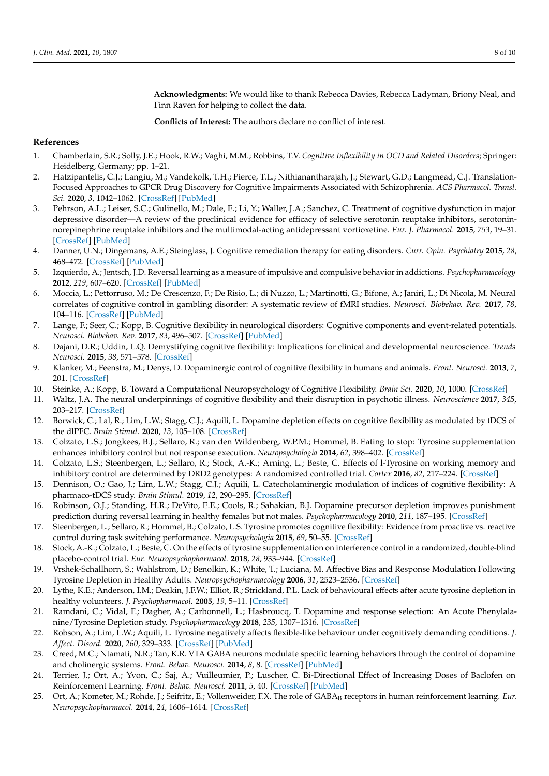**Acknowledgments:** We would like to thank Rebecca Davies, Rebecca Ladyman, Briony Neal, and Finn Raven for helping to collect the data.

**Conflicts of Interest:** The authors declare no conflict of interest.

## **References**

- <span id="page-7-0"></span>1. Chamberlain, S.R.; Solly, J.E.; Hook, R.W.; Vaghi, M.M.; Robbins, T.V. *Cognitive Inflexibility in OCD and Related Disorders*; Springer: Heidelberg, Germany; pp. 1–21.
- <span id="page-7-1"></span>2. Hatzipantelis, C.J.; Langiu, M.; Vandekolk, T.H.; Pierce, T.L.; Nithianantharajah, J.; Stewart, G.D.; Langmead, C.J. Translation-Focused Approaches to GPCR Drug Discovery for Cognitive Impairments Associated with Schizophrenia. *ACS Pharmacol. Transl. Sci.* **2020**, *3*, 1042–1062. [\[CrossRef\]](http://doi.org/10.1021/acsptsci.0c00117) [\[PubMed\]](http://www.ncbi.nlm.nih.gov/pubmed/33344888)
- <span id="page-7-2"></span>3. Pehrson, A.L.; Leiser, S.C.; Gulinello, M.; Dale, E.; Li, Y.; Waller, J.A.; Sanchez, C. Treatment of cognitive dysfunction in major depressive disorder—A review of the preclinical evidence for efficacy of selective serotonin reuptake inhibitors, serotoninnorepinephrine reuptake inhibitors and the multimodal-acting antidepressant vortioxetine. *Eur. J. Pharmacol.* **2015**, *753*, 19–31. [\[CrossRef\]](http://doi.org/10.1016/j.ejphar.2014.07.044) [\[PubMed\]](http://www.ncbi.nlm.nih.gov/pubmed/25107284)
- <span id="page-7-3"></span>4. Danner, U.N.; Dingemans, A.E.; Steinglass, J. Cognitive remediation therapy for eating disorders. *Curr. Opin. Psychiatry* **2015**, *28*, 468–472. [\[CrossRef\]](http://doi.org/10.1097/YCO.0000000000000192) [\[PubMed\]](http://www.ncbi.nlm.nih.gov/pubmed/26382156)
- <span id="page-7-4"></span>5. Izquierdo, A.; Jentsch, J.D. Reversal learning as a measure of impulsive and compulsive behavior in addictions. *Psychopharmacology* **2012**, *219*, 607–620. [\[CrossRef\]](http://doi.org/10.1007/s00213-011-2579-7) [\[PubMed\]](http://www.ncbi.nlm.nih.gov/pubmed/22134477)
- <span id="page-7-5"></span>6. Moccia, L.; Pettorruso, M.; De Crescenzo, F.; De Risio, L.; di Nuzzo, L.; Martinotti, G.; Bifone, A.; Janiri, L.; Di Nicola, M. Neural correlates of cognitive control in gambling disorder: A systematic review of fMRI studies. *Neurosci. Biobehav. Rev.* **2017**, *78*, 104–116. [\[CrossRef\]](http://doi.org/10.1016/j.neubiorev.2017.04.025) [\[PubMed\]](http://www.ncbi.nlm.nih.gov/pubmed/28456569)
- <span id="page-7-6"></span>7. Lange, F.; Seer, C.; Kopp, B. Cognitive flexibility in neurological disorders: Cognitive components and event-related potentials. *Neurosci. Biobehav. Rev.* **2017**, *83*, 496–507. [\[CrossRef\]](http://doi.org/10.1016/j.neubiorev.2017.09.011) [\[PubMed\]](http://www.ncbi.nlm.nih.gov/pubmed/28903059)
- 8. Dajani, D.R.; Uddin, L.Q. Demystifying cognitive flexibility: Implications for clinical and developmental neuroscience. *Trends Neurosci.* **2015**, *38*, 571–578. [\[CrossRef\]](http://doi.org/10.1016/j.tins.2015.07.003)
- <span id="page-7-8"></span>9. Klanker, M.; Feenstra, M.; Denys, D. Dopaminergic control of cognitive flexibility in humans and animals. *Front. Neurosci.* **2013**, *7*, 201. [\[CrossRef\]](http://doi.org/10.3389/fnins.2013.00201)
- 10. Steinke, A.; Kopp, B. Toward a Computational Neuropsychology of Cognitive Flexibility. *Brain Sci.* **2020**, *10*, 1000. [\[CrossRef\]](http://doi.org/10.3390/brainsci10121000)
- <span id="page-7-7"></span>11. Waltz, J.A. The neural underpinnings of cognitive flexibility and their disruption in psychotic illness. *Neuroscience* **2017**, *345*, 203–217. [\[CrossRef\]](http://doi.org/10.1016/j.neuroscience.2016.06.005)
- <span id="page-7-9"></span>12. Borwick, C.; Lal, R.; Lim, L.W.; Stagg, C.J.; Aquili, L. Dopamine depletion effects on cognitive flexibility as modulated by tDCS of the dlPFC. *Brain Stimul.* **2020**, *13*, 105–108. [\[CrossRef\]](http://doi.org/10.1016/j.brs.2019.08.016)
- <span id="page-7-17"></span>13. Colzato, L.S.; Jongkees, B.J.; Sellaro, R.; van den Wildenberg, W.P.M.; Hommel, B. Eating to stop: Tyrosine supplementation enhances inhibitory control but not response execution. *Neuropsychologia* **2014**, *62*, 398–402. [\[CrossRef\]](http://doi.org/10.1016/j.neuropsychologia.2013.12.027)
- 14. Colzato, L.S.; Steenbergen, L.; Sellaro, R.; Stock, A.-K.; Arning, L.; Beste, C. Effects of l-Tyrosine on working memory and inhibitory control are determined by DRD2 genotypes: A randomized controlled trial. *Cortex* **2016**, *82*, 217–224. [\[CrossRef\]](http://doi.org/10.1016/j.cortex.2016.06.010)
- <span id="page-7-16"></span>15. Dennison, O.; Gao, J.; Lim, L.W.; Stagg, C.J.; Aquili, L. Catecholaminergic modulation of indices of cognitive flexibility: A pharmaco-tDCS study. *Brain Stimul.* **2019**, *12*, 290–295. [\[CrossRef\]](http://doi.org/10.1016/j.brs.2018.12.001)
- 16. Robinson, O.J.; Standing, H.R.; DeVito, E.E.; Cools, R.; Sahakian, B.J. Dopamine precursor depletion improves punishment prediction during reversal learning in healthy females but not males. *Psychopharmacology* **2010**, *211*, 187–195. [\[CrossRef\]](http://doi.org/10.1007/s00213-010-1880-1)
- <span id="page-7-18"></span>17. Steenbergen, L.; Sellaro, R.; Hommel, B.; Colzato, L.S. Tyrosine promotes cognitive flexibility: Evidence from proactive vs. reactive control during task switching performance. *Neuropsychologia* **2015**, *69*, 50–55. [\[CrossRef\]](http://doi.org/10.1016/j.neuropsychologia.2015.01.022)
- 18. Stock, A.-K.; Colzato, L.; Beste, C. On the effects of tyrosine supplementation on interference control in a randomized, double-blind placebo-control trial. *Eur. Neuropsychopharmacol.* **2018**, *28*, 933–944. [\[CrossRef\]](http://doi.org/10.1016/j.euroneuro.2018.05.010)
- <span id="page-7-10"></span>19. Vrshek-Schallhorn, S.; Wahlstrom, D.; Benolkin, K.; White, T.; Luciana, M. Affective Bias and Response Modulation Following Tyrosine Depletion in Healthy Adults. *Neuropsychopharmacology* **2006**, *31*, 2523–2536. [\[CrossRef\]](http://doi.org/10.1038/sj.npp.1301172)
- <span id="page-7-11"></span>20. Lythe, K.E.; Anderson, I.M.; Deakin, J.F.W.; Elliot, R.; Strickland, P.L. Lack of behavioural effects after acute tyrosine depletion in healthy volunteers. *J. Psychopharmacol.* **2005**, *19*, 5–11. [\[CrossRef\]](http://doi.org/10.1177/0269881105048886)
- 21. Ramdani, C.; Vidal, F.; Dagher, A.; Carbonnell, L.; Hasbroucq, T. Dopamine and response selection: An Acute Phenylalanine/Tyrosine Depletion study. *Psychopharmacology* **2018**, *235*, 1307–1316. [\[CrossRef\]](http://doi.org/10.1007/s00213-018-4846-3)
- <span id="page-7-12"></span>22. Robson, A.; Lim, L.W.; Aquili, L. Tyrosine negatively affects flexible-like behaviour under cognitively demanding conditions. *J. Affect. Disord.* **2020**, *260*, 329–333. [\[CrossRef\]](http://doi.org/10.1016/j.jad.2019.09.031) [\[PubMed\]](http://www.ncbi.nlm.nih.gov/pubmed/31521870)
- <span id="page-7-13"></span>23. Creed, M.C.; Ntamati, N.R.; Tan, K.R. VTA GABA neurons modulate specific learning behaviors through the control of dopamine and cholinergic systems. *Front. Behav. Neurosci.* **2014**, *8*, 8. [\[CrossRef\]](http://doi.org/10.3389/fnbeh.2014.00008) [\[PubMed\]](http://www.ncbi.nlm.nih.gov/pubmed/24478655)
- <span id="page-7-14"></span>24. Terrier, J.; Ort, A.; Yvon, C.; Saj, A.; Vuilleumier, P.; Luscher, C. Bi-Directional Effect of Increasing Doses of Baclofen on Reinforcement Learning. *Front. Behav. Neurosci.* **2011**, *5*, 40. [\[CrossRef\]](http://doi.org/10.3389/fnbeh.2011.00040) [\[PubMed\]](http://www.ncbi.nlm.nih.gov/pubmed/21811448)
- <span id="page-7-15"></span>25. Ort, A.; Kometer, M.; Rohde, J.; Seifritz, E.; Vollenweider, F.X. The role of GABA<sub>B</sub> receptors in human reinforcement learning. *Eur. Neuropsychopharmacol.* **2014**, *24*, 1606–1614. [\[CrossRef\]](http://doi.org/10.1016/j.euroneuro.2014.08.013)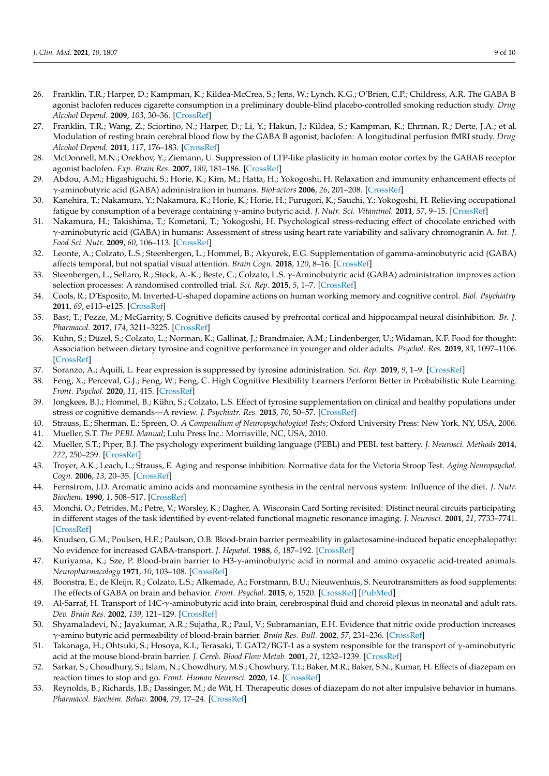- <span id="page-8-0"></span>26. Franklin, T.R.; Harper, D.; Kampman, K.; Kildea-McCrea, S.; Jens, W.; Lynch, K.G.; O'Brien, C.P.; Childress, A.R. The GABA B agonist baclofen reduces cigarette consumption in a preliminary double-blind placebo-controlled smoking reduction study. *Drug Alcohol Depend.* **2009**, *103*, 30–36. [\[CrossRef\]](http://doi.org/10.1016/j.drugalcdep.2009.02.014)
- <span id="page-8-1"></span>27. Franklin, T.R.; Wang, Z.; Sciortino, N.; Harper, D.; Li, Y.; Hakun, J.; Kildea, S.; Kampman, K.; Ehrman, R.; Derte, J.A.; et al. Modulation of resting brain cerebral blood flow by the GABA B agonist, baclofen: A longitudinal perfusion fMRI study. *Drug Alcohol Depend.* **2011**, *117*, 176–183. [\[CrossRef\]](http://doi.org/10.1016/j.drugalcdep.2011.01.015)
- <span id="page-8-2"></span>28. McDonnell, M.N.; Orekhov, Y.; Ziemann, U. Suppression of LTP-like plasticity in human motor cortex by the GABAB receptor agonist baclofen. *Exp. Brain Res.* **2007**, *180*, 181–186. [\[CrossRef\]](http://doi.org/10.1007/s00221-006-0849-0)
- <span id="page-8-3"></span>29. Abdou, A.M.; Higashiguchi, S.; Horie, K.; Kim, M.; Hatta, H.; Yokogoshi, H. Relaxation and immunity enhancement effects of γ-aminobutyric acid (GABA) administration in humans. *BioFactors* **2006**, *26*, 201–208. [\[CrossRef\]](http://doi.org/10.1002/biof.5520260305)
- 30. Kanehira, T.; Nakamura, Y.; Nakamura, K.; Horie, K.; Horie, H.; Furugori, K.; Sauchi, Y.; Yokogoshi, H. Relieving occupational fatigue by consumption of a beverage containing γ-amino butyric acid. *J. Nutr. Sci. Vitaminol.* **2011**, *57*, 9–15. [\[CrossRef\]](http://doi.org/10.3177/jnsv.57.9)
- <span id="page-8-4"></span>31. Nakamura, H.; Takishima, T.; Kometani, T.; Yokogoshi, H. Psychological stress-reducing effect of chocolate enriched with γ-aminobutyric acid (GABA) in humans: Assessment of stress using heart rate variability and salivary chromogranin A. *Int. J. Food Sci. Nutr.* **2009**, *60*, 106–113. [\[CrossRef\]](http://doi.org/10.1080/09637480802558508)
- <span id="page-8-5"></span>32. Leonte, A.; Colzato, L.S.; Steenbergen, L.; Hommel, B.; Akyurek, E.G. Supplementation of gamma-aminobutyric acid (GABA) affects temporal, but not spatial visual attention. *Brain Cogn.* **2018**, *120*, 8–16. [\[CrossRef\]](http://doi.org/10.1016/j.bandc.2017.11.004)
- <span id="page-8-6"></span>33. Steenbergen, L.; Sellaro, R.; Stock, A.-K.; Beste, C.; Colzato, L.S. γ-Aminobutyric acid (GABA) administration improves action selection processes: A randomised controlled trial. *Sci. Rep.* **2015**, *5*, 1–7. [\[CrossRef\]](http://doi.org/10.1038/srep12770)
- <span id="page-8-7"></span>34. Cools, R.; D'Esposito, M. Inverted-U-shaped dopamine actions on human working memory and cognitive control. *Biol. Psychiatry* **2011**, *69*, e113–e125. [\[CrossRef\]](http://doi.org/10.1016/j.biopsych.2011.03.028)
- <span id="page-8-8"></span>35. Bast, T.; Pezze, M.; McGarrity, S. Cognitive deficits caused by prefrontal cortical and hippocampal neural disinhibition. *Br. J. Pharmacol.* **2017**, *174*, 3211–3225. [\[CrossRef\]](http://doi.org/10.1111/bph.13850)
- <span id="page-8-9"></span>36. Kühn, S.; Düzel, S.; Colzato, L.; Norman, K.; Gallinat, J.; Brandmaier, A.M.; Lindenberger, U.; Widaman, K.F. Food for thought: Association between dietary tyrosine and cognitive performance in younger and older adults. *Psychol. Res.* **2019**, *83*, 1097–1106. [\[CrossRef\]](http://doi.org/10.1007/s00426-017-0957-4)
- <span id="page-8-10"></span>37. Soranzo, A.; Aquili, L. Fear expression is suppressed by tyrosine administration. *Sci. Rep.* **2019**, *9*, 1–9. [\[CrossRef\]](http://doi.org/10.1038/s41598-019-52610-x)
- <span id="page-8-11"></span>38. Feng, X.; Perceval, G.J.; Feng, W.; Feng, C. High Cognitive Flexibility Learners Perform Better in Probabilistic Rule Learning. *Front. Psychol.* **2020**, *11*, 415. [\[CrossRef\]](http://doi.org/10.3389/fpsyg.2020.00415)
- <span id="page-8-12"></span>39. Jongkees, B.J.; Hommel, B.; Kühn, S.; Colzato, L.S. Effect of tyrosine supplementation on clinical and healthy populations under stress or cognitive demands—A review. *J. Psychiatr. Res.* **2015**, *70*, 50–57. [\[CrossRef\]](http://doi.org/10.1016/j.jpsychires.2015.08.014)
- <span id="page-8-13"></span>40. Strauss, E.; Sherman, E.; Spreen, O. *A Compendium of Neuropsychological Tests*; Oxford University Press: New York, NY, USA, 2006.
- <span id="page-8-14"></span>41. Mueller, S.T. *The PEBL Manual*; Lulu Press Inc.: Morrisville, NC, USA, 2010.
- <span id="page-8-15"></span>42. Mueller, S.T.; Piper, B.J. The psychology experiment building language (PEBL) and PEBL test battery. *J. Neurosci. Methods* **2014**, *222*, 250–259. [\[CrossRef\]](http://doi.org/10.1016/j.jneumeth.2013.10.024)
- <span id="page-8-16"></span>43. Troyer, A.K.; Leach, L.; Strauss, E. Aging and response inhibition: Normative data for the Victoria Stroop Test. *Aging Neuropsychol. Cogn.* **2006**, *13*, 20–35. [\[CrossRef\]](http://doi.org/10.1080/138255890968187)
- <span id="page-8-17"></span>44. Fernstrom, J.D. Aromatic amino acids and monoamine synthesis in the central nervous system: Influence of the diet. *J. Nutr. Biochem.* **1990**, *1*, 508–517. [\[CrossRef\]](http://doi.org/10.1016/0955-2863(90)90033-H)
- <span id="page-8-18"></span>45. Monchi, O.; Petrides, M.; Petre, V.; Worsley, K.; Dagher, A. Wisconsin Card Sorting revisited: Distinct neural circuits participating in different stages of the task identified by event-related functional magnetic resonance imaging. *J. Neurosci.* **2001**, *21*, 7733–7741. [\[CrossRef\]](http://doi.org/10.1523/JNEUROSCI.21-19-07733.2001)
- <span id="page-8-19"></span>46. Knudsen, G.M.; Poulsen, H.E.; Paulson, O.B. Blood-brain barrier permeability in galactosamine-induced hepatic encephalopathy: No evidence for increased GABA-transport. *J. Hepatol.* **1988**, *6*, 187–192. [\[CrossRef\]](http://doi.org/10.1016/S0168-8278(88)80030-8)
- <span id="page-8-20"></span>47. Kuriyama, K.; Sze, P. Blood-brain barrier to H3-γ-aminobutyric acid in normal and amino oxyacetic acid-treated animals. *Neuropharmacology* **1971**, *10*, 103–108. [\[CrossRef\]](http://doi.org/10.1016/0028-3908(71)90013-X)
- <span id="page-8-21"></span>48. Boonstra, E.; de Kleijn, R.; Colzato, L.S.; Alkemade, A.; Forstmann, B.U.; Nieuwenhuis, S. Neurotransmitters as food supplements: The effects of GABA on brain and behavior. *Front. Psychol.* **2015**, *6*, 1520. [\[CrossRef\]](http://doi.org/10.3389/fpsyg.2015.01520) [\[PubMed\]](http://www.ncbi.nlm.nih.gov/pubmed/26500584)
- <span id="page-8-22"></span>49. Al-Sarraf, H. Transport of 14C-γ-aminobutyric acid into brain, cerebrospinal fluid and choroid plexus in neonatal and adult rats. *Dev. Brain Res.* **2002**, *139*, 121–129. [\[CrossRef\]](http://doi.org/10.1016/S0165-3806(02)00537-0)
- <span id="page-8-23"></span>50. Shyamaladevi, N.; Jayakumar, A.R.; Sujatha, R.; Paul, V.; Subramanian, E.H. Evidence that nitric oxide production increases γ-amino butyric acid permeability of blood-brain barrier. *Brain Res. Bull.* **2002**, *57*, 231–236. [\[CrossRef\]](http://doi.org/10.1016/S0361-9230(01)00755-9)
- <span id="page-8-24"></span>51. Takanaga, H.; Ohtsuki, S.; Hosoya, K.I.; Terasaki, T. GAT2/BGT-1 as a system responsible for the transport of γ-aminobutyric acid at the mouse blood-brain barrier. *J. Cereb. Blood Flow Metab.* **2001**, *21*, 1232–1239. [\[CrossRef\]](http://doi.org/10.1097/00004647-200110000-00012)
- <span id="page-8-25"></span>52. Sarkar, S.; Choudhury, S.; Islam, N.; Chowdhury, M.S.; Chowhury, T.I.; Baker, M.R.; Baker, S.N.; Kumar, H. Effects of diazepam on reaction times to stop and go. *Front. Human Neurosci.* **2020**, *14*. [\[CrossRef\]](http://doi.org/10.3389/fnhum.2020.567177)
- <span id="page-8-26"></span>53. Reynolds, B.; Richards, J.B.; Dassinger, M.; de Wit, H. Therapeutic doses of diazepam do not alter impulsive behavior in humans. *Pharmacol. Biochem. Behav.* **2004**, *79*, 17–24. [\[CrossRef\]](http://doi.org/10.1016/j.pbb.2004.06.011)